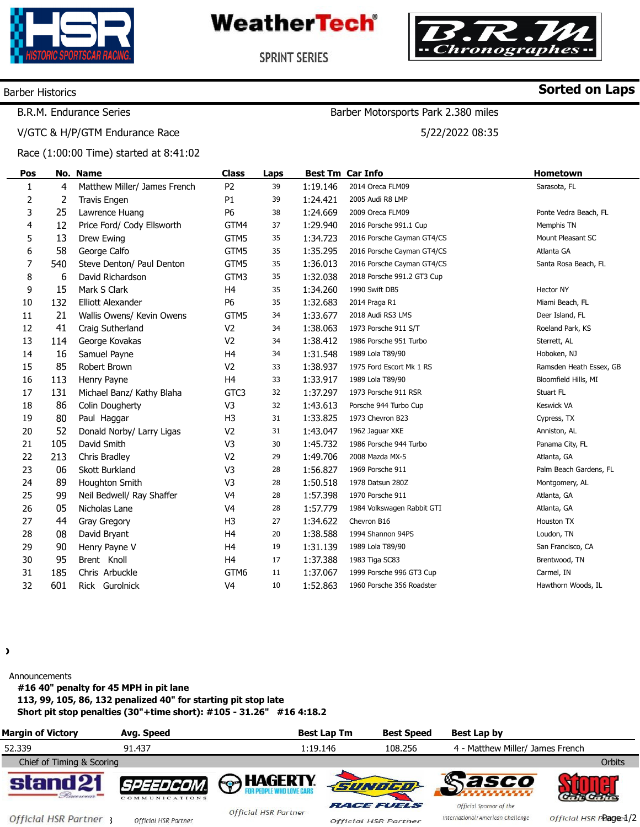





Barber Motorsports Park 2.380 miles

5/22/2022 08:35

**SPRINT SERIES** 

## Barber Historics

**Sorted on Laps**

# B.R.M. Endurance Series

V/GTC & H/P/GTM Endurance Race

Race (1:00:00 Time) started at 8:41:02

| Pos            |     | No. Name                     | <b>Class</b>   | Laps |          | <b>Best Tm Car Info</b>    | Hometown                |
|----------------|-----|------------------------------|----------------|------|----------|----------------------------|-------------------------|
| $\mathbf{1}$   | 4   | Matthew Miller/ James French | P <sub>2</sub> | 39   | 1:19.146 | 2014 Oreca FLM09           | Sarasota, FL            |
| $\overline{2}$ | 2   | Travis Engen                 | P <sub>1</sub> | 39   | 1:24.421 | 2005 Audi R8 LMP           |                         |
| 3              | 25  | Lawrence Huang               | P6             | 38   | 1:24.669 | 2009 Oreca FLM09           | Ponte Vedra Beach, FL   |
| 4              | 12  | Price Ford/ Cody Ellsworth   | GTM4           | 37   | 1:29.940 | 2016 Porsche 991.1 Cup     | Memphis TN              |
| 5              | 13  | Drew Ewing                   | GTM5           | 35   | 1:34.723 | 2016 Porsche Cayman GT4/CS | Mount Pleasant SC       |
| 6              | 58  | George Calfo                 | GTM5           | 35   | 1:35.295 | 2016 Porsche Cayman GT4/CS | Atlanta GA              |
| 7              | 540 | Steve Denton/ Paul Denton    | GTM5           | 35   | 1:36.013 | 2016 Porsche Cayman GT4/CS | Santa Rosa Beach, FL    |
| 8              | 6   | David Richardson             | GTM3           | 35   | 1:32.038 | 2018 Porsche 991.2 GT3 Cup |                         |
| 9              | 15  | Mark S Clark                 | H <sub>4</sub> | 35   | 1:34.260 | 1990 Swift DB5             | Hector NY               |
| $10\,$         | 132 | <b>Elliott Alexander</b>     | P6             | 35   | 1:32.683 | 2014 Praga R1              | Miami Beach, FL         |
| 11             | 21  | Wallis Owens/ Kevin Owens    | GTM5           | 34   | 1:33.677 | 2018 Audi RS3 LMS          | Deer Island, FL         |
| 12             | 41  | Craig Sutherland             | V <sub>2</sub> | 34   | 1:38.063 | 1973 Porsche 911 S/T       | Roeland Park, KS        |
| 13             | 114 | George Kovakas               | V <sub>2</sub> | 34   | 1:38.412 | 1986 Porsche 951 Turbo     | Sterrett, AL            |
| 14             | 16  | Samuel Payne                 | H <sub>4</sub> | 34   | 1:31.548 | 1989 Lola T89/90           | Hoboken, NJ             |
| 15             | 85  | Robert Brown                 | V <sub>2</sub> | 33   | 1:38.937 | 1975 Ford Escort Mk 1 RS   | Ramsden Heath Essex, GB |
| 16             | 113 | Henry Payne                  | H <sub>4</sub> | 33   | 1:33.917 | 1989 Lola T89/90           | Bloomfield Hills, MI    |
| 17             | 131 | Michael Banz/ Kathy Blaha    | GTC3           | 32   | 1:37.297 | 1973 Porsche 911 RSR       | Stuart FL               |
| 18             | 86  | Colin Dougherty              | V3             | 32   | 1:43.613 | Porsche 944 Turbo Cup      | Keswick VA              |
| 19             | 80  | Paul Haggar                  | H <sub>3</sub> | 31   | 1:33.825 | 1973 Chevron B23           | Cypress, TX             |
| 20             | 52  | Donald Norby/ Larry Ligas    | V <sub>2</sub> | 31   | 1:43.047 | 1962 Jaguar XKE            | Anniston, AL            |
| 21             | 105 | David Smith                  | V <sub>3</sub> | 30   | 1:45.732 | 1986 Porsche 944 Turbo     | Panama City, FL         |
| 22             | 213 | Chris Bradley                | V <sub>2</sub> | 29   | 1:49.706 | 2008 Mazda MX-5            | Atlanta, GA             |
| 23             | 06  | <b>Skott Burkland</b>        | V <sub>3</sub> | 28   | 1:56.827 | 1969 Porsche 911           | Palm Beach Gardens, FL  |
| 24             | 89  | Houghton Smith               | V <sub>3</sub> | 28   | 1:50.518 | 1978 Datsun 280Z           | Montgomery, AL          |
| 25             | 99  | Neil Bedwell/ Ray Shaffer    | V4             | 28   | 1:57.398 | 1970 Porsche 911           | Atlanta, GA             |
| 26             | 05  | Nicholas Lane                | V4             | 28   | 1:57.779 | 1984 Volkswagen Rabbit GTI | Atlanta, GA             |
| 27             | 44  | Gray Gregory                 | H <sub>3</sub> | 27   | 1:34.622 | Chevron B16                | Houston TX              |
| 28             | 08  | David Bryant                 | H <sub>4</sub> | 20   | 1:38.588 | 1994 Shannon 94PS          | Loudon, TN              |
| 29             | 90  | Henry Payne V                | H <sub>4</sub> | 19   | 1:31.139 | 1989 Lola T89/90           | San Francisco, CA       |
| 30             | 95  | Brent Knoll                  | H <sub>4</sub> | 17   | 1:37.388 | 1983 Tiga SC83             | Brentwood, TN           |
| 31             | 185 | Chris Arbuckle               | GTM6           | 11   | 1:37.067 | 1999 Porsche 996 GT3 Cup   | Carmel, IN              |
| 32             | 601 | Rick Gurolnick               | V <sub>4</sub> | 10   | 1:52.863 | 1960 Porsche 356 Roadster  | Hawthorn Woods, IL      |

 $\lambda$ 

Announcements

**#16 40" penalty for 45 MPH in pit lane 113, 99, 105, 86, 132 penalized 40" for starting pit stop late** 

**Short pit stop penalties (30"+time short): #105 - 31.26" #16 4:18.2** 

| <b>Margin of Victory</b>    | Avg. Speed                         |                             | <b>Best Lap Tm</b> | <b>Best Speed</b>                                | Best Lap by                                                 |                        |
|-----------------------------|------------------------------------|-----------------------------|--------------------|--------------------------------------------------|-------------------------------------------------------------|------------------------|
| 52.339                      | 91.437                             |                             | 1:19.146           | 108.256                                          | 4 - Matthew Miller/ James French                            |                        |
| Chief of Timing & Scoring   |                                    |                             |                    |                                                  |                                                             | <b>Orbits</b>          |
| stand 21<br>Pacennar =      | <i>SPEEDCOM.</i><br>COMMUNICATIONS | <b>A</b> HAGERTY            |                    | <b>SUNDCO</b>                                    | Sasco                                                       |                        |
| <b>Official HSR Partner</b> | <b>Official HSR Partner</b>        | <b>Official HSR Partner</b> |                    | <b>RACE FUELS</b><br><b>Official HSR Partner</b> | Official Sponsor of the<br>International/American Challenge | Official HSR PPage 1/2 |